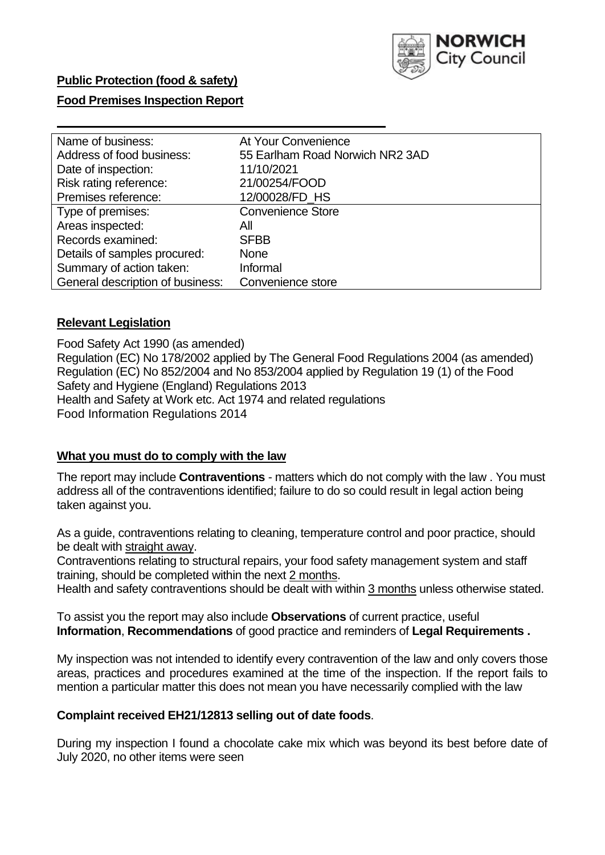

## **Food Premises Inspection Report**

| Name of business:                | At Your Convenience             |
|----------------------------------|---------------------------------|
| Address of food business:        | 55 Earlham Road Norwich NR2 3AD |
| Date of inspection:              | 11/10/2021                      |
| Risk rating reference:           | 21/00254/FOOD                   |
| Premises reference:              | 12/00028/FD HS                  |
| Type of premises:                | <b>Convenience Store</b>        |
| Areas inspected:                 | All                             |
| Records examined:                | <b>SFBB</b>                     |
| Details of samples procured:     | <b>None</b>                     |
| Summary of action taken:         | Informal                        |
| General description of business: | Convenience store               |

### **Relevant Legislation**

Food Safety Act 1990 (as amended) Regulation (EC) No 178/2002 applied by The General Food Regulations 2004 (as amended) Regulation (EC) No 852/2004 and No 853/2004 applied by Regulation 19 (1) of the Food Safety and Hygiene (England) Regulations 2013 Health and Safety at Work etc. Act 1974 and related regulations Food Information Regulations 2014

#### **What you must do to comply with the law**

The report may include **Contraventions** - matters which do not comply with the law . You must address all of the contraventions identified; failure to do so could result in legal action being taken against you.

As a guide, contraventions relating to cleaning, temperature control and poor practice, should be dealt with straight away.

Contraventions relating to structural repairs, your food safety management system and staff training, should be completed within the next 2 months.

Health and safety contraventions should be dealt with within 3 months unless otherwise stated.

To assist you the report may also include **Observations** of current practice, useful **Information**, **Recommendations** of good practice and reminders of **Legal Requirements .**

My inspection was not intended to identify every contravention of the law and only covers those areas, practices and procedures examined at the time of the inspection. If the report fails to mention a particular matter this does not mean you have necessarily complied with the law

#### **Complaint received EH21/12813 selling out of date foods**.

During my inspection I found a chocolate cake mix which was beyond its best before date of July 2020, no other items were seen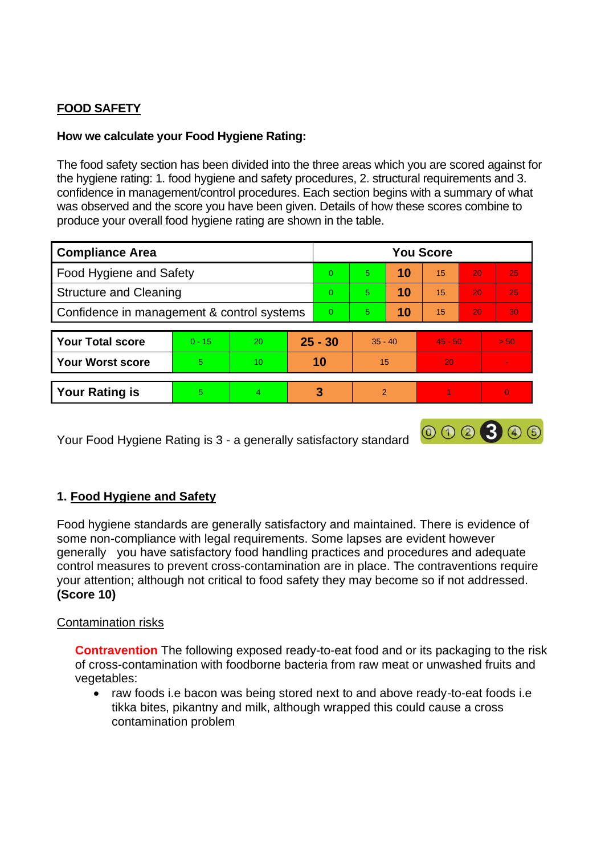# **FOOD SAFETY**

# **How we calculate your Food Hygiene Rating:**

The food safety section has been divided into the three areas which you are scored against for the hygiene rating: 1. food hygiene and safety procedures, 2. structural requirements and 3. confidence in management/control procedures. Each section begins with a summary of what was observed and the score you have been given. Details of how these scores combine to produce your overall food hygiene rating are shown in the table.

| <b>Compliance Area</b>                     |          |           |          | <b>You Score</b> |                |    |           |                 |          |  |  |
|--------------------------------------------|----------|-----------|----------|------------------|----------------|----|-----------|-----------------|----------|--|--|
| <b>Food Hygiene and Safety</b>             |          |           |          | $\Omega$         | 5              | 10 | 15        | 20              | 25       |  |  |
| <b>Structure and Cleaning</b>              |          |           |          | $\Omega$         | 5              | 10 | 15        | 20              | 25       |  |  |
| Confidence in management & control systems |          |           | $\Omega$ | 5                | 10             | 15 | 20        | 30 <sup>°</sup> |          |  |  |
|                                            |          |           |          |                  |                |    |           |                 |          |  |  |
| <b>Your Total score</b>                    | $0 - 15$ | <b>20</b> |          | $25 - 30$        | $35 - 40$      |    | $45 - 50$ |                 | > 50     |  |  |
| <b>Your Worst score</b>                    | 5.       | 10        |          | 10               | 15             |    | 20        |                 |          |  |  |
|                                            |          |           |          |                  |                |    |           |                 |          |  |  |
| <b>Your Rating is</b>                      | 5        | 4         |          | З                | $\overline{2}$ |    |           |                 | $\Omega$ |  |  |

Your Food Hygiene Rating is 3 - a generally satisfactory standard

# **1. Food Hygiene and Safety**

Food hygiene standards are generally satisfactory and maintained. There is evidence of some non-compliance with legal requirements. Some lapses are evident however generally you have satisfactory food handling practices and procedures and adequate control measures to prevent cross-contamination are in place. The contraventions require your attention; although not critical to food safety they may become so if not addressed. **(Score 10)**

000300

### Contamination risks

**Contravention** The following exposed ready-to-eat food and or its packaging to the risk of cross-contamination with foodborne bacteria from raw meat or unwashed fruits and vegetables:

• raw foods i.e bacon was being stored next to and above ready-to-eat foods i.e tikka bites, pikantny and milk, although wrapped this could cause a cross contamination problem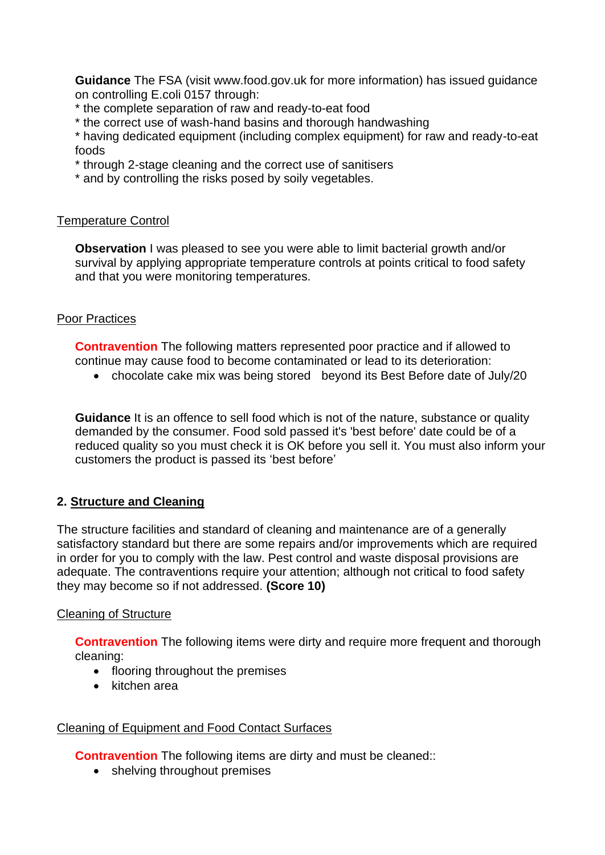**Guidance** The FSA (visit www.food.gov.uk for more information) has issued guidance on controlling E.coli 0157 through:

- \* the complete separation of raw and ready-to-eat food
- \* the correct use of wash-hand basins and thorough handwashing

\* having dedicated equipment (including complex equipment) for raw and ready-to-eat foods

- \* through 2-stage cleaning and the correct use of sanitisers
- \* and by controlling the risks posed by soily vegetables.

#### Temperature Control

**Observation** I was pleased to see you were able to limit bacterial growth and/or survival by applying appropriate temperature controls at points critical to food safety and that you were monitoring temperatures.

### Poor Practices

**Contravention** The following matters represented poor practice and if allowed to continue may cause food to become contaminated or lead to its deterioration:

• chocolate cake mix was being stored beyond its Best Before date of July/20

**Guidance** It is an offence to sell food which is not of the nature, substance or quality demanded by the consumer. Food sold passed it's 'best before' date could be of a reduced quality so you must check it is OK before you sell it. You must also inform your customers the product is passed its 'best before'

# **2. Structure and Cleaning**

The structure facilities and standard of cleaning and maintenance are of a generally satisfactory standard but there are some repairs and/or improvements which are required in order for you to comply with the law. Pest control and waste disposal provisions are adequate. The contraventions require your attention; although not critical to food safety they may become so if not addressed. **(Score 10)**

#### Cleaning of Structure

**Contravention** The following items were dirty and require more frequent and thorough cleaning:

- flooring throughout the premises
- kitchen area

### Cleaning of Equipment and Food Contact Surfaces

**Contravention** The following items are dirty and must be cleaned::

• shelving throughout premises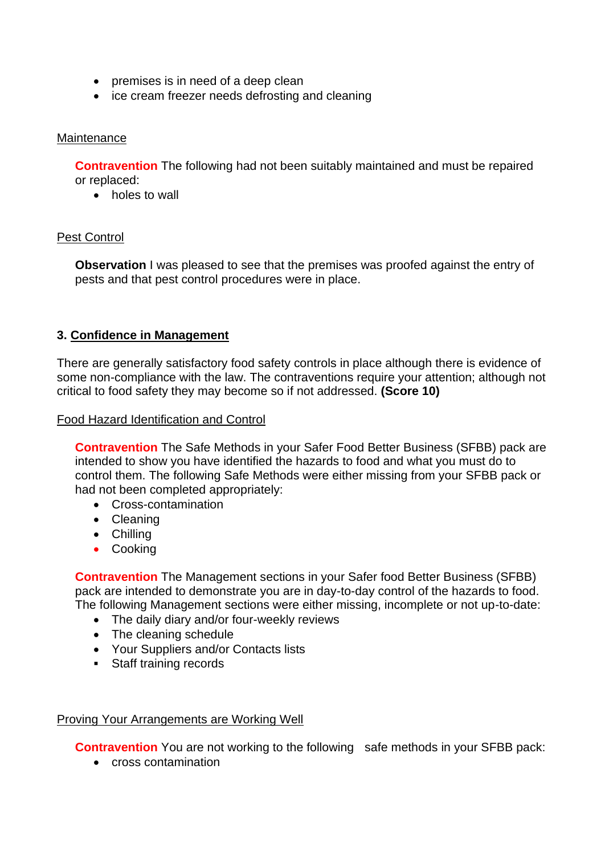- premises is in need of a deep clean
- ice cream freezer needs defrosting and cleaning

## **Maintenance**

**Contravention** The following had not been suitably maintained and must be repaired or replaced:

• holes to wall

## Pest Control

**Observation** I was pleased to see that the premises was proofed against the entry of pests and that pest control procedures were in place.

## **3. Confidence in Management**

There are generally satisfactory food safety controls in place although there is evidence of some non-compliance with the law. The contraventions require your attention; although not critical to food safety they may become so if not addressed. **(Score 10)**

Food Hazard Identification and Control

**Contravention** The Safe Methods in your Safer Food Better Business (SFBB) pack are intended to show you have identified the hazards to food and what you must do to control them. The following Safe Methods were either missing from your SFBB pack or had not been completed appropriately:

- Cross-contamination
- Cleaning
- Chilling
- Cooking

**Contravention** The Management sections in your Safer food Better Business (SFBB) pack are intended to demonstrate you are in day-to-day control of the hazards to food. The following Management sections were either missing, incomplete or not up-to-date:

- The daily diary and/or four-weekly reviews
- The cleaning schedule
- Your Suppliers and/or Contacts lists
- Staff training records

### Proving Your Arrangements are Working Well

**Contravention** You are not working to the following safe methods in your SFBB pack:

• cross contamination